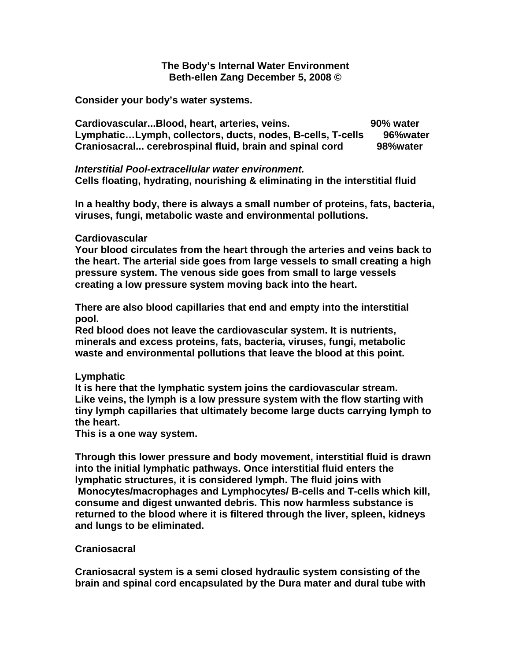## **The Body's Internal Water Environment Beth-ellen Zang December 5, 2008 ©**

**Consider your body's water systems.** 

**Cardiovascular...Blood, heart, arteries, veins. 90% water Lymphatic…Lymph, collectors, ducts, nodes, B-cells, T-cells 96%water Craniosacral... cerebrospinal fluid, brain and spinal cord 98%water**

*Interstitial Pool-extracellular water environment.* **Cells floating, hydrating, nourishing & eliminating in the interstitial fluid**

**In a healthy body, there is always a small number of proteins, fats, bacteria, viruses, fungi, metabolic waste and environmental pollutions.**

## **Cardiovascular**

**Your blood circulates from the heart through the arteries and veins back to the heart. The arterial side goes from large vessels to small creating a high pressure system. The venous side goes from small to large vessels creating a low pressure system moving back into the heart.** 

**There are also blood capillaries that end and empty into the interstitial pool.**

**Red blood does not leave the cardiovascular system. It is nutrients, minerals and excess proteins, fats, bacteria, viruses, fungi, metabolic waste and environmental pollutions that leave the blood at this point.**

## **Lymphatic**

**It is here that the lymphatic system joins the cardiovascular stream. Like veins, the lymph is a low pressure system with the flow starting with tiny lymph capillaries that ultimately become large ducts carrying lymph to the heart.**

**This is a one way system.**

**Through this lower pressure and body movement, interstitial fluid is drawn into the initial lymphatic pathways. Once interstitial fluid enters the lymphatic structures, it is considered lymph. The fluid joins with Monocytes/macrophages and Lymphocytes/ B-cells and T-cells which kill, consume and digest unwanted debris. This now harmless substance is** 

**returned to the blood where it is filtered through the liver, spleen, kidneys and lungs to be eliminated.**

## **Craniosacral**

**Craniosacral system is a semi closed hydraulic system consisting of the brain and spinal cord encapsulated by the Dura mater and dural tube with**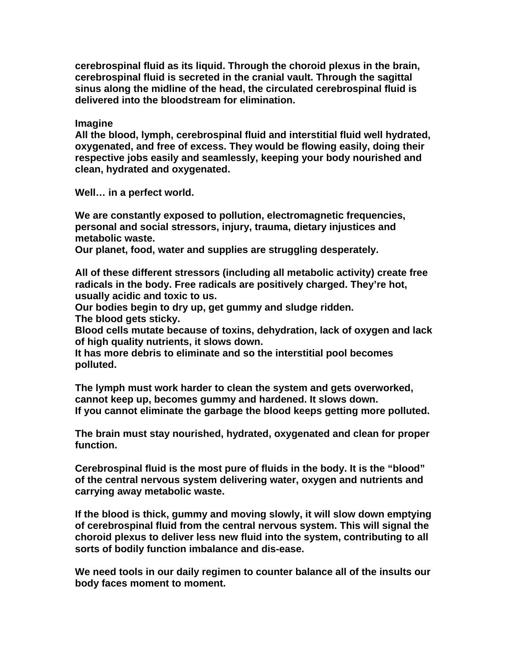**cerebrospinal fluid as its liquid. Through the choroid plexus in the brain, cerebrospinal fluid is secreted in the cranial vault. Through the sagittal sinus along the midline of the head, the circulated cerebrospinal fluid is delivered into the bloodstream for elimination.**

**Imagine**

**All the blood, lymph, cerebrospinal fluid and interstitial fluid well hydrated, oxygenated, and free of excess. They would be flowing easily, doing their respective jobs easily and seamlessly, keeping your body nourished and clean, hydrated and oxygenated.**

**Well… in a perfect world.**

**We are constantly exposed to pollution, electromagnetic frequencies, personal and social stressors, injury, trauma, dietary injustices and metabolic waste.**

**Our planet, food, water and supplies are struggling desperately.**

**All of these different stressors (including all metabolic activity) create free radicals in the body. Free radicals are positively charged. They're hot, usually acidic and toxic to us.**

**Our bodies begin to dry up, get gummy and sludge ridden.** 

**The blood gets sticky.** 

**Blood cells mutate because of toxins, dehydration, lack of oxygen and lack of high quality nutrients, it slows down.**

**It has more debris to eliminate and so the interstitial pool becomes polluted.**

**The lymph must work harder to clean the system and gets overworked, cannot keep up, becomes gummy and hardened. It slows down. If you cannot eliminate the garbage the blood keeps getting more polluted.**

**The brain must stay nourished, hydrated, oxygenated and clean for proper function.**

**Cerebrospinal fluid is the most pure of fluids in the body. It is the "blood" of the central nervous system delivering water, oxygen and nutrients and carrying away metabolic waste.**

**If the blood is thick, gummy and moving slowly, it will slow down emptying of cerebrospinal fluid from the central nervous system. This will signal the choroid plexus to deliver less new fluid into the system, contributing to all sorts of bodily function imbalance and dis-ease.**

**We need tools in our daily regimen to counter balance all of the insults our body faces moment to moment.**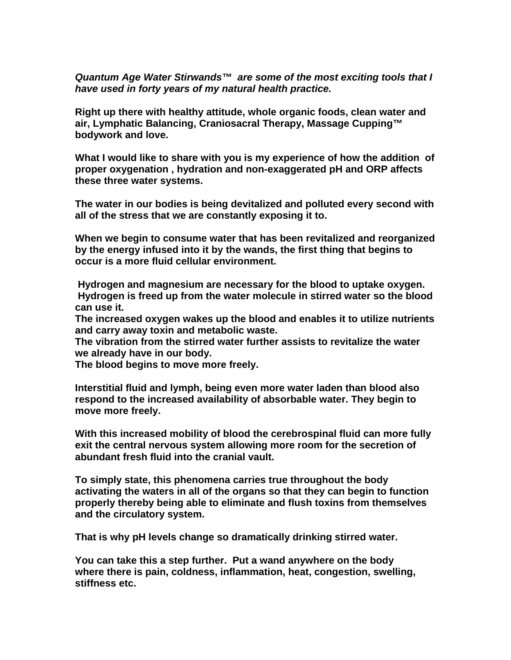*Quantum Age Water Stirwands™ are some of the most exciting tools that I have used in forty years of my natural health practice.*

**Right up there with healthy attitude, whole organic foods, clean water and air, Lymphatic Balancing, Craniosacral Therapy, Massage Cupping™ bodywork and love.**

**What I would like to share with you is my experience of how the addition of proper oxygenation , hydration and non-exaggerated pH and ORP affects these three water systems.**

**The water in our bodies is being devitalized and polluted every second with all of the stress that we are constantly exposing it to.**

**When we begin to consume water that has been revitalized and reorganized by the energy infused into it by the wands, the first thing that begins to occur is a more fluid cellular environment.** 

 **Hydrogen and magnesium are necessary for the blood to uptake oxygen. Hydrogen is freed up from the water molecule in stirred water so the blood can use it.**

**The increased oxygen wakes up the blood and enables it to utilize nutrients and carry away toxin and metabolic waste.**

**The vibration from the stirred water further assists to revitalize the water we already have in our body.**

**The blood begins to move more freely.**

**Interstitial fluid and lymph, being even more water laden than blood also respond to the increased availability of absorbable water. They begin to move more freely.**

**With this increased mobility of blood the cerebrospinal fluid can more fully exit the central nervous system allowing more room for the secretion of abundant fresh fluid into the cranial vault.**

**To simply state, this phenomena carries true throughout the body activating the waters in all of the organs so that they can begin to function properly thereby being able to eliminate and flush toxins from themselves and the circulatory system.**

**That is why pH levels change so dramatically drinking stirred water.**

**You can take this a step further. Put a wand anywhere on the body where there is pain, coldness, inflammation, heat, congestion, swelling, stiffness etc.**